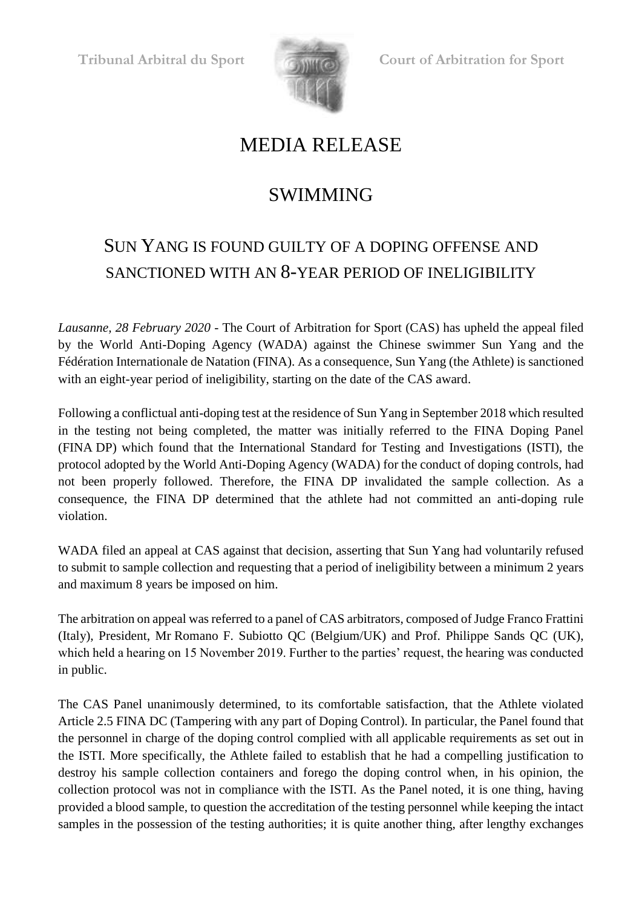

**Tribunal Arbitral du Sport Court of Arbitration for Sport**

## MEDIA RELEASE

## SWIMMING

## SUN YANG IS FOUND GUILTY OF A DOPING OFFENSE AND SANCTIONED WITH AN 8-YEAR PERIOD OF INELIGIBILITY

*Lausanne, 28 February 2020 -* The Court of Arbitration for Sport (CAS) has upheld the appeal filed by the World Anti-Doping Agency (WADA) against the Chinese swimmer Sun Yang and the Fédération Internationale de Natation (FINA). As a consequence, Sun Yang (the Athlete) is sanctioned with an eight-year period of ineligibility, starting on the date of the CAS award.

Following a conflictual anti-doping test at the residence of Sun Yang in September 2018 which resulted in the testing not being completed, the matter was initially referred to the FINA Doping Panel (FINA DP) which found that the International Standard for Testing and Investigations (ISTI), the protocol adopted by the World Anti-Doping Agency (WADA) for the conduct of doping controls, had not been properly followed. Therefore, the FINA DP invalidated the sample collection. As a consequence, the FINA DP determined that the athlete had not committed an anti-doping rule violation.

WADA filed an appeal at CAS against that decision, asserting that Sun Yang had voluntarily refused to submit to sample collection and requesting that a period of ineligibility between a minimum 2 years and maximum 8 years be imposed on him.

The arbitration on appeal was referred to a panel of CAS arbitrators, composed of Judge Franco Frattini (Italy), President, Mr Romano F. Subiotto QC (Belgium/UK) and Prof. Philippe Sands QC (UK), which held a hearing on 15 November 2019. Further to the parties' request, the hearing was conducted in public.

The CAS Panel unanimously determined, to its comfortable satisfaction, that the Athlete violated Article 2.5 FINA DC (Tampering with any part of Doping Control). In particular, the Panel found that the personnel in charge of the doping control complied with all applicable requirements as set out in the ISTI. More specifically, the Athlete failed to establish that he had a compelling justification to destroy his sample collection containers and forego the doping control when, in his opinion, the collection protocol was not in compliance with the ISTI. As the Panel noted, it is one thing, having provided a blood sample, to question the accreditation of the testing personnel while keeping the intact samples in the possession of the testing authorities; it is quite another thing, after lengthy exchanges